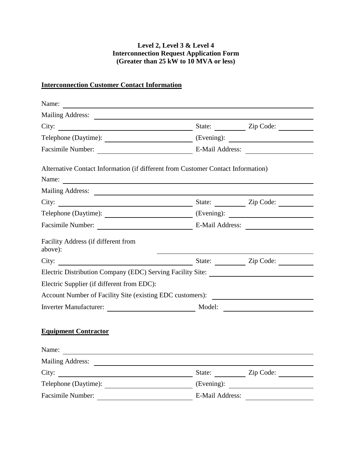#### **Level 2, Level 3 & Level 4 Interconnection Request Application Form (Greater than 25 kW to 10 MVA or less)**

## **Interconnection Customer Contact Information**

|                                                                                   |                 | State: <u>Cip</u> Code: |  |
|-----------------------------------------------------------------------------------|-----------------|-------------------------|--|
|                                                                                   |                 |                         |  |
| Facsimile Number: E-Mail Address:                                                 |                 |                         |  |
| Alternative Contact Information (if different from Customer Contact Information)  |                 |                         |  |
| Name: Name:                                                                       |                 |                         |  |
|                                                                                   |                 |                         |  |
| City: $\qquad \qquad \qquad$                                                      |                 | State: <u>Zip Code:</u> |  |
|                                                                                   |                 |                         |  |
| Facsimile Number: E-Mail Address:                                                 |                 |                         |  |
| Facility Address (if different from<br>above):                                    |                 |                         |  |
| City: $\qquad \qquad \qquad$                                                      |                 | State: Zip Code:        |  |
| Electric Distribution Company (EDC) Serving Facility Site: ______________________ |                 |                         |  |
| Electric Supplier (if different from EDC):                                        |                 |                         |  |
| Account Number of Facility Site (existing EDC customers):                         |                 |                         |  |
|                                                                                   |                 |                         |  |
| <b>Equipment Contractor</b>                                                       |                 |                         |  |
| Name:                                                                             |                 |                         |  |
| <b>Mailing Address:</b><br><u>and the state of the state of the state</u>         |                 |                         |  |
| City:                                                                             |                 | State: Zip Code:        |  |
| Telephone (Daytime):                                                              | (Evening):      |                         |  |
| Facsimile Number:                                                                 | E-Mail Address: |                         |  |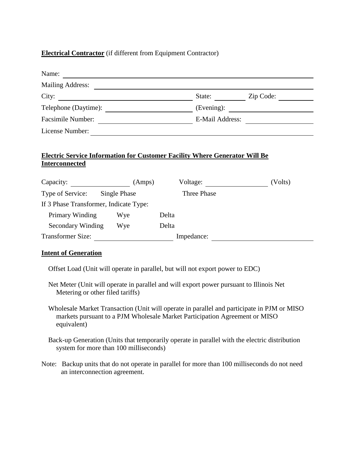#### **Electrical Contractor** (if different from Equipment Contractor)

| Name:                                     |                                                         |       |                               |                 |
|-------------------------------------------|---------------------------------------------------------|-------|-------------------------------|-----------------|
| <b>Mailing Address:</b>                   |                                                         |       |                               |                 |
| City:                                     |                                                         |       | State: $\qquad \qquad \qquad$ | Zip Code:       |
| Telephone (Daytime):                      |                                                         |       |                               | (Evening):      |
| Facsimile Number:                         | <u> 1989 - Johann Barbara, martin amerikan basal da</u> |       |                               | E-Mail Address: |
| License Number:                           |                                                         |       |                               |                 |
| <b>Interconnected</b><br>Capacity: (Amps) |                                                         |       | Voltage:                      | (Volts)         |
| Type of Service: Single Phase             |                                                         |       | Three Phase                   |                 |
| If 3 Phase Transformer, Indicate Type:    |                                                         |       |                               |                 |
| Primary Winding Wye                       |                                                         | Delta |                               |                 |
| Secondary Winding Wye                     |                                                         | Delta |                               |                 |
| <b>Transformer Size:</b>                  |                                                         |       | Impedance:                    |                 |

#### **Intent of Generation**

Offset Load (Unit will operate in parallel, but will not export power to EDC)

 Net Meter (Unit will operate in parallel and will export power pursuant to Illinois Net Metering or other filed tariffs)

 Wholesale Market Transaction (Unit will operate in parallel and participate in PJM or MISO markets pursuant to a PJM Wholesale Market Participation Agreement or MISO equivalent)

 Back-up Generation (Units that temporarily operate in parallel with the electric distribution system for more than 100 milliseconds)

Note: Backup units that do not operate in parallel for more than 100 milliseconds do not need an interconnection agreement.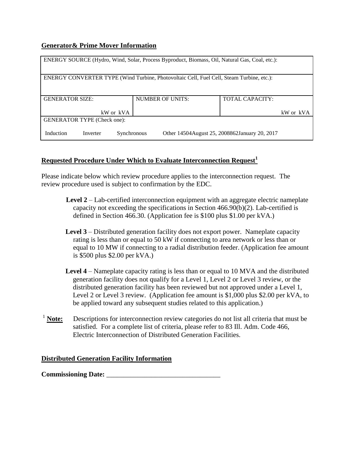#### **Generator& Prime Mover Information**

| ENERGY SOURCE (Hydro, Wind, Solar, Process Byproduct, Biomass, Oil, Natural Gas, Coal, etc.): |                    |                                                  |  |  |  |
|-----------------------------------------------------------------------------------------------|--------------------|--------------------------------------------------|--|--|--|
|                                                                                               |                    |                                                  |  |  |  |
| ENERGY CONVERTER TYPE (Wind Turbine, Photovoltaic Cell, Fuel Cell, Steam Turbine, etc.):      |                    |                                                  |  |  |  |
|                                                                                               |                    |                                                  |  |  |  |
|                                                                                               |                    |                                                  |  |  |  |
|                                                                                               |                    |                                                  |  |  |  |
| <b>GENERATOR SIZE:</b>                                                                        | NUMBER OF UNITS:   | <b>TOTAL CAPACITY:</b>                           |  |  |  |
|                                                                                               |                    |                                                  |  |  |  |
|                                                                                               |                    |                                                  |  |  |  |
| kW or kVA                                                                                     |                    | kW or kVA                                        |  |  |  |
|                                                                                               |                    |                                                  |  |  |  |
| <b>GENERATOR TYPE (Check one):</b>                                                            |                    |                                                  |  |  |  |
|                                                                                               |                    |                                                  |  |  |  |
|                                                                                               |                    |                                                  |  |  |  |
| Induction<br>Inverter                                                                         | <b>Synchronous</b> | Other 14504 August 25, 2008 862 January 20, 2017 |  |  |  |
|                                                                                               |                    |                                                  |  |  |  |

## **Requested Procedure Under Which to Evaluate Interconnection Request<sup>1</sup>**

Please indicate below which review procedure applies to the interconnection request. The review procedure used is subject to confirmation by the EDC.

- **Level 2** Lab-certified interconnection equipment with an aggregate electric nameplate capacity not exceeding the specifications in Section  $466.90(b)(2)$ . Lab-certified is defined in Section 466.30. (Application fee is \$100 plus \$1.00 per kVA.)
- **Level 3** Distributed generation facility does not export power. Nameplate capacity rating is less than or equal to 50 kW if connecting to area network or less than or equal to 10 MW if connecting to a radial distribution feeder. (Application fee amount is \$500 plus \$2.00 per kVA.)
- **Level 4** Nameplate capacity rating is less than or equal to 10 MVA and the distributed generation facility does not qualify for a Level 1, Level 2 or Level 3 review, or the distributed generation facility has been reviewed but not approved under a Level 1, Level 2 or Level 3 review. (Application fee amount is \$1,000 plus \$2.00 per kVA, to be applied toward any subsequent studies related to this application.)
- <sup>1</sup> **Note:** Descriptions for interconnection review categories do not list all criteria that must be satisfied. For a complete list of criteria, please refer to 83 Ill. Adm. Code 466, Electric Interconnection of Distributed Generation Facilities.

#### **Distributed Generation Facility Information**

**Commissioning Date:**  $\blacksquare$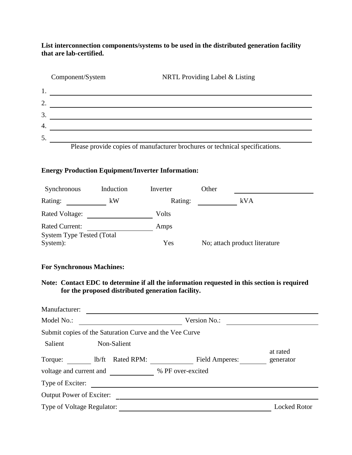**List interconnection components/systems to be used in the distributed generation facility that are lab-certified.**

|                  | Component/System | NRTL Providing Label & Listing                                               |
|------------------|------------------|------------------------------------------------------------------------------|
|                  |                  |                                                                              |
| $\overline{2}$ . |                  |                                                                              |
| 3.               |                  |                                                                              |
| 4.               |                  |                                                                              |
| 5.               |                  |                                                                              |
|                  |                  | Please provide copies of manufacturer brochures or technical specifications. |

#### **Energy Production Equipment/Inverter Information:**

| Synchronous                                  | Induction | Inverter | Other                         |
|----------------------------------------------|-----------|----------|-------------------------------|
| Rating:                                      | kW        | Rating:  | kVA                           |
| Rated Voltage:                               |           | Volts    |                               |
| <b>Rated Current:</b>                        |           | Amps     |                               |
| <b>System Type Tested (Total</b><br>System): |           | Yes      | No; attach product literature |

## **For Synchronous Machines:**

**Note: Contact EDC to determine if all the information requested in this section is required for the proposed distributed generation facility.**

| Manufacturer:                                           |                       |                     |
|---------------------------------------------------------|-----------------------|---------------------|
| Model No.:                                              | Version No.:          |                     |
| Submit copies of the Saturation Curve and the Vee Curve |                       |                     |
| Salient<br>Non-Salient                                  |                       | at rated            |
| Rated RPM:<br>lb/ft<br>Torque:                          | <b>Field Amperes:</b> | generator           |
| voltage and current and                                 | % PF over-excited     |                     |
| Type of Exciter:                                        |                       |                     |
| <b>Output Power of Exciter:</b>                         |                       |                     |
| Type of Voltage Regulator:                              |                       | <b>Locked Rotor</b> |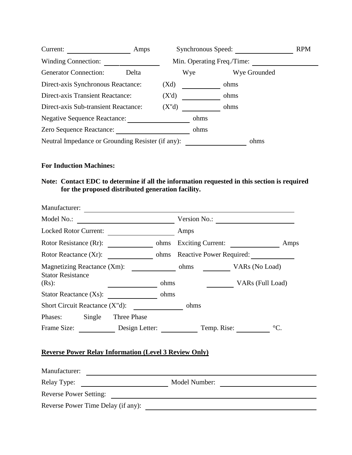| Current:                                          | Amps                       | <b>Synchronous Speed:</b> |      | <b>RPM</b>   |  |
|---------------------------------------------------|----------------------------|---------------------------|------|--------------|--|
| <b>Winding Connection:</b>                        | Min. Operating Freq./Time: |                           |      |              |  |
| <b>Generator Connection:</b>                      | Delta                      |                           | Wye  | Wye Grounded |  |
| Direct-axis Synchronous Reactance:                |                            | (Xd)                      |      | ohms         |  |
| <b>Direct-axis Transient Reactance:</b>           |                            | (X'd)                     |      | ohms         |  |
| Direct-axis Sub-transient Reactance:              |                            | (X''d)                    |      | ohms         |  |
| <b>Negative Sequence Reactance:</b>               |                            |                           | ohms |              |  |
| Zero Sequence Reactance:                          |                            |                           | ohms |              |  |
| Neutral Impedance or Grounding Resister (if any): |                            |                           |      | ohms         |  |

## **For Induction Machines:**

## **Note: Contact EDC to determine if all the information requested in this section is required for the proposed distributed generation facility.**

| Manufacturer:                                                                 |             |      |                                                        |      |
|-------------------------------------------------------------------------------|-------------|------|--------------------------------------------------------|------|
| Model No.:                                                                    |             |      | Version No.: $\overline{\qquad \qquad }$               |      |
| <b>Locked Rotor Current:</b>                                                  |             |      | Amps                                                   |      |
| Rotor Resistance (Rr):                                                        |             | ohms | Exciting Current:                                      | Amps |
| Rotor Reactance (Xr):                                                         |             | ohms | Reactive Power Required:                               |      |
| Magnetizing Reactance (Xm):<br><b>Stator Resistance</b><br>$(Rs)$ :           |             | ohms | ohms<br>VAR <sub>s</sub> (No Load)<br>VARs (Full Load) |      |
| <b>Stator Reactance (Xs):</b>                                                 |             | ohms |                                                        |      |
| Short Circuit Reactance (X"d):                                                |             |      | ohms                                                   |      |
| Phases:<br>Single                                                             | Three Phase |      |                                                        |      |
| Frame Size: Design Letter:                                                    |             |      | $\rm{^{\circ}C}$ .<br>Temp. Rise:                      |      |
| <b>Reverse Power Relay Information (Level 3 Review Only)</b><br>Manufacturer: |             |      |                                                        |      |
| Relay Type:                                                                   |             |      | Model Number:                                          |      |
| <b>Reverse Power Setting:</b>                                                 |             |      | <u> 1989 - Andrea Andrew Maria (h. 1989).</u>          |      |
| Reverse Power Time Delay (if any):                                            |             |      |                                                        |      |

 $\overline{\phantom{a}}$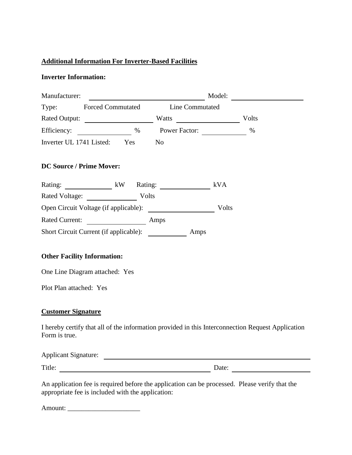## **Additional Information For Inverter-Based Facilities**

#### **Inverter Information:**

| Manufacturer:                                                                     |  | Model:                                                                                            |
|-----------------------------------------------------------------------------------|--|---------------------------------------------------------------------------------------------------|
| Type: Forced Commutated Line Commutated                                           |  |                                                                                                   |
| Rated Output: Volts                                                               |  |                                                                                                   |
| Efficiency: ___________________ % Power Factor: _________________________________ |  | $\%$                                                                                              |
| Inverter UL 1741 Listed: Yes No                                                   |  |                                                                                                   |
| <b>DC Source / Prime Mover:</b>                                                   |  |                                                                                                   |
| Rating: kW Rating: kVA                                                            |  |                                                                                                   |
| Rated Voltage: Volts                                                              |  |                                                                                                   |
|                                                                                   |  |                                                                                                   |
| Rated Current: <u>Amps</u>                                                        |  |                                                                                                   |
|                                                                                   |  |                                                                                                   |
| <b>Other Facility Information:</b>                                                |  |                                                                                                   |
| One Line Diagram attached: Yes                                                    |  |                                                                                                   |
| Plot Plan attached: Yes                                                           |  |                                                                                                   |
| <b>Customer Signature</b>                                                         |  |                                                                                                   |
| Form is true.                                                                     |  | I hereby certify that all of the information provided in this Interconnection Request Application |
|                                                                                   |  |                                                                                                   |
| Title:                                                                            |  | Date: $\qquad \qquad$                                                                             |
|                                                                                   |  |                                                                                                   |

An application fee is required before the application can be processed. Please verify that the appropriate fee is included with the application:

Amount: \_\_\_\_\_\_\_\_\_\_\_\_\_\_\_\_\_\_\_\_\_